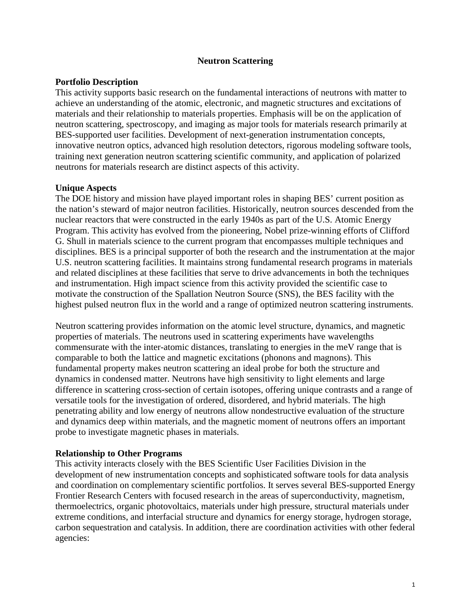#### **Neutron Scattering**

#### **Portfolio Description**

This activity supports basic research on the fundamental interactions of neutrons with matter to achieve an understanding of the atomic, electronic, and magnetic structures and excitations of materials and their relationship to materials properties. Emphasis will be on the application of neutron scattering, spectroscopy, and imaging as major tools for materials research primarily at BES-supported user facilities. Development of next-generation instrumentation concepts, innovative neutron optics, advanced high resolution detectors, rigorous modeling software tools, training next generation neutron scattering scientific community, and application of polarized neutrons for materials research are distinct aspects of this activity.

## **Unique Aspects**

The DOE history and mission have played important roles in shaping BES' current position as the nation's steward of major neutron facilities. Historically, neutron sources descended from the nuclear reactors that were constructed in the early 1940s as part of the U.S. Atomic Energy Program. This activity has evolved from the pioneering, Nobel prize-winning efforts of Clifford G. Shull in materials science to the current program that encompasses multiple techniques and disciplines. BES is a principal supporter of both the research and the instrumentation at the major U.S. neutron scattering facilities. It maintains strong fundamental research programs in materials and related disciplines at these facilities that serve to drive advancements in both the techniques and instrumentation. High impact science from this activity provided the scientific case to motivate the construction of the Spallation Neutron Source (SNS), the BES facility with the highest pulsed neutron flux in the world and a range of optimized neutron scattering instruments.

Neutron scattering provides information on the atomic level structure, dynamics, and magnetic properties of materials. The neutrons used in scattering experiments have wavelengths commensurate with the inter-atomic distances, translating to energies in the meV range that is comparable to both the lattice and magnetic excitations (phonons and magnons). This fundamental property makes neutron scattering an ideal probe for both the structure and dynamics in condensed matter. Neutrons have high sensitivity to light elements and large difference in scattering cross-section of certain isotopes, offering unique contrasts and a range of versatile tools for the investigation of ordered, disordered, and hybrid materials. The high penetrating ability and low energy of neutrons allow nondestructive evaluation of the structure and dynamics deep within materials, and the magnetic moment of neutrons offers an important probe to investigate magnetic phases in materials.

#### **Relationship to Other Programs**

This activity interacts closely with the BES Scientific User Facilities Division in the development of new instrumentation concepts and sophisticated software tools for data analysis and coordination on complementary scientific portfolios. It serves several BES-supported Energy Frontier Research Centers with focused research in the areas of superconductivity, magnetism, thermoelectrics, organic photovoltaics, materials under high pressure, structural materials under extreme conditions, and interfacial structure and dynamics for energy storage, hydrogen storage, carbon sequestration and catalysis. In addition, there are coordination activities with other federal agencies: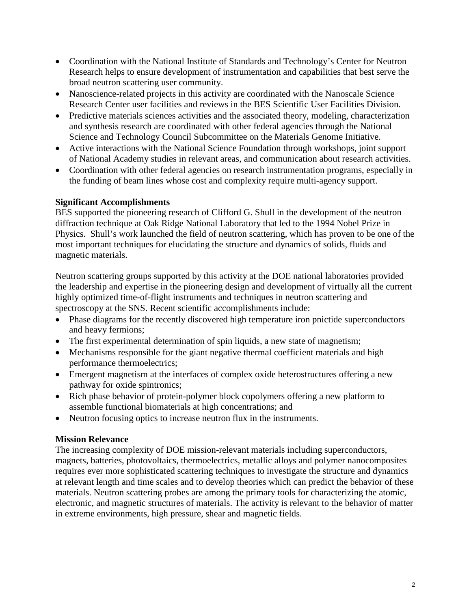- Coordination with the National Institute of Standards and Technology's Center for Neutron Research helps to ensure development of instrumentation and capabilities that best serve the broad neutron scattering user community.
- Nanoscience-related projects in this activity are coordinated with the Nanoscale Science Research Center user facilities and reviews in the BES Scientific User Facilities Division.
- Predictive materials sciences activities and the associated theory, modeling, characterization and synthesis research are coordinated with other federal agencies through the National Science and Technology Council Subcommittee on the Materials Genome Initiative.
- Active interactions with the National Science Foundation through workshops, joint support of National Academy studies in relevant areas, and communication about research activities.
- Coordination with other federal agencies on research instrumentation programs, especially in the funding of beam lines whose cost and complexity require multi-agency support.

## **Significant Accomplishments**

BES supported the pioneering research of Clifford G. Shull in the development of the neutron diffraction technique at Oak Ridge National Laboratory that led to the 1994 Nobel Prize in Physics. Shull's work launched the field of neutron scattering, which has proven to be one of the most important techniques for elucidating the structure and dynamics of solids, fluids and magnetic materials.

Neutron scattering groups supported by this activity at the DOE national laboratories provided the leadership and expertise in the pioneering design and development of virtually all the current highly optimized time-of-flight instruments and techniques in neutron scattering and spectroscopy at the SNS. Recent scientific accomplishments include:

- Phase diagrams for the recently discovered high temperature iron pnictide superconductors and heavy fermions;
- The first experimental determination of spin liquids, a new state of magnetism;
- Mechanisms responsible for the giant negative thermal coefficient materials and high performance thermoelectrics;
- Emergent magnetism at the interfaces of complex oxide heterostructures offering a new pathway for oxide spintronics;
- Rich phase behavior of protein-polymer block copolymers offering a new platform to assemble functional biomaterials at high concentrations; and
- Neutron focusing optics to increase neutron flux in the instruments.

# **Mission Relevance**

The increasing complexity of DOE mission-relevant materials including superconductors, magnets, batteries, photovoltaics, thermoelectrics, metallic alloys and polymer nanocomposites requires ever more sophisticated scattering techniques to investigate the structure and dynamics at relevant length and time scales and to develop theories which can predict the behavior of these materials. Neutron scattering probes are among the primary tools for characterizing the atomic, electronic, and magnetic structures of materials. The activity is relevant to the behavior of matter in extreme environments, high pressure, shear and magnetic fields.